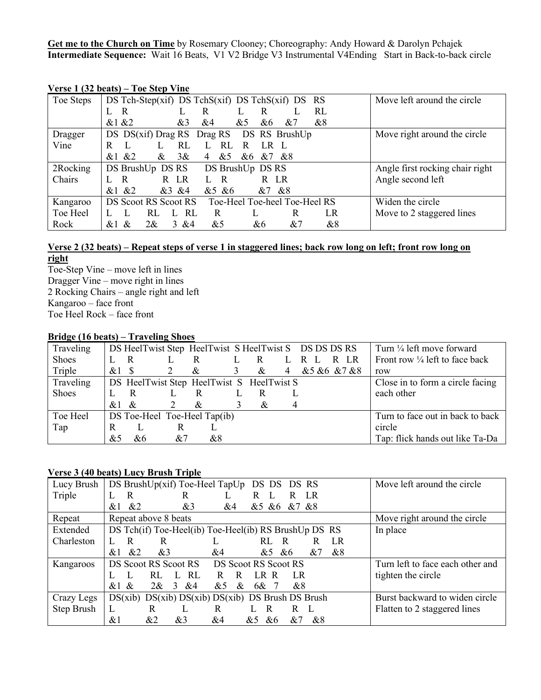**Get me to the Church on Time** by Rosemary Clooney; Choreography: Andy Howard & Darolyn Pchajek **Intermediate Sequence:** Wait 16 Beats, V1 V2 Bridge V3 Instrumental V4Ending Start in Back-to-back circle

| Toe Steps | DS Tch-Step(xif) DS TchS(xif) DS TchS(xif) DS RS      | Move left around the circle     |
|-----------|-------------------------------------------------------|---------------------------------|
|           | RL<br>R<br>R<br>R                                     |                                 |
|           | &1 &2<br>&3<br>&8<br>&5<br>&4<br>&6<br>&7             |                                 |
| Dragger   | DS DS(xif) Drag RS Drag RS<br>DS RS BrushUp           | Move right around the circle    |
| Vine      | RL<br>RL<br>R<br>R<br>LR L                            |                                 |
|           | &1 & 22<br>38x<br>&<br>&5<br>&6<br>&7 &8<br>4         |                                 |
| 2Rocking  | DS BrushUp DS RS<br>DS BrushUp DS RS                  | Angle first rocking chair right |
| Chairs    | R LR<br>R<br>L R<br>R LR                              | Angle second left               |
|           | &1 & 22<br>&3&4<br>& 5 & 6<br>&7<br>&8                |                                 |
| Kangaroo  | DS Scoot RS Scoot RS<br>Toe-Heel Toe-heel Toe-Heel RS | Widen the circle                |
| Toe Heel  | L RL<br>LR<br>RL<br>R<br>R                            | Move to 2 staggered lines       |
| Rock      | $2\&$<br>3 & 8 & 4<br>&5<br>&6<br>&7<br>&8<br>&<br>&1 |                                 |

## **Verse 1 (32 beats) – Toe Step Vine**

## **Verse 2 (32 beats) – Repeat steps of verse 1 in staggered lines; back row long on left; front row long on right**

Toe-Step Vine – move left in lines Dragger Vine – move right in lines 2 Rocking Chairs – angle right and left Kangaroo – face front Toe Heel Rock – face front

### **Bridge (16 beats) – Traveling Shoes**

| Traveling |                              |      |    |                                           |   |     |   | DS HeelTwist Step HeelTwist S HeelTwist S DS DS DS RS | Turn $\frac{1}{4}$ left move forward      |
|-----------|------------------------------|------|----|-------------------------------------------|---|-----|---|-------------------------------------------------------|-------------------------------------------|
| Shoes     |                              | R    | L  | R                                         |   | - R |   | R LR<br>L R L                                         | Front row $\frac{1}{4}$ left to face back |
| Triple    | $&1$ S                       |      |    | $\&$                                      | 3 | &   | 4 | &5 &6 &7 &8                                           | row                                       |
| Traveling |                              |      |    | DS HeelTwist Step HeelTwist S HeelTwist S |   |     |   |                                                       | Close in to form a circle facing          |
| Shoes     |                              | R    |    | R                                         |   |     |   |                                                       | each other                                |
|           | &1                           | $\&$ | 2  | &                                         |   | &   | 4 |                                                       |                                           |
| Toe Heel  | DS Toe-Heel Toe-Heel Tap(ib) |      |    |                                           |   |     |   | Turn to face out in back to back                      |                                           |
| Tap       | R                            |      | R  |                                           |   |     |   |                                                       | circle                                    |
|           | &5                           | &6   | &7 | &8                                        |   |     |   |                                                       | Tap: flick hands out like Ta-Da           |

## **Verse 3 (40 beats) Lucy Brush Triple**

| Lucy Brush | DS BrushUp(xif) Toe-Heel TapUp DS DS DS RS                           | Move left around the circle      |
|------------|----------------------------------------------------------------------|----------------------------------|
| Triple     | R<br>R<br>R<br>LR<br>R                                               |                                  |
|            | &2<br>& 5 & 6 & 7 & 8<br>&1<br>&3<br>&4                              |                                  |
| Repeat     | Repeat above 8 beats                                                 | Move right around the circle     |
| Extended   | DS Tch(if) Toe-Heel(ib) Toe-Heel(ib) RS BrushUp DS RS                | In place                         |
| Charleston | R<br>RL.<br>LR<br>R<br>R<br>R                                        |                                  |
|            | &2<br>&3<br>&1<br>&7<br>&8<br>&4<br>&6<br>&5                         |                                  |
| Kangaroos  | DS Scoot RS Scoot RS<br>DS Scoot RS Scoot RS                         | Turn left to face each other and |
|            | RL<br>RL<br>LR R<br>LR<br>R.<br>R                                    | tighten the circle               |
|            | $\mathcal{E}$<br>$\&$<br>$2\&$<br>&4<br>$&$ 1<br>&5<br>&<br>6&<br>&8 |                                  |
| Crazy Legs | $DS(xib)$ $DS(xib)$ $DS(xib)$ $DS(xib)$ $DS$ Brush $DS$ Brush        | Burst backward to widen circle   |
| Step Brush | L<br>R<br>R<br>R<br>R.<br>L                                          | Flatten to 2 staggered lines     |
|            | $&$ 1<br>&2<br>&3<br>&6<br>&4<br>&8<br>&7<br>&5                      |                                  |